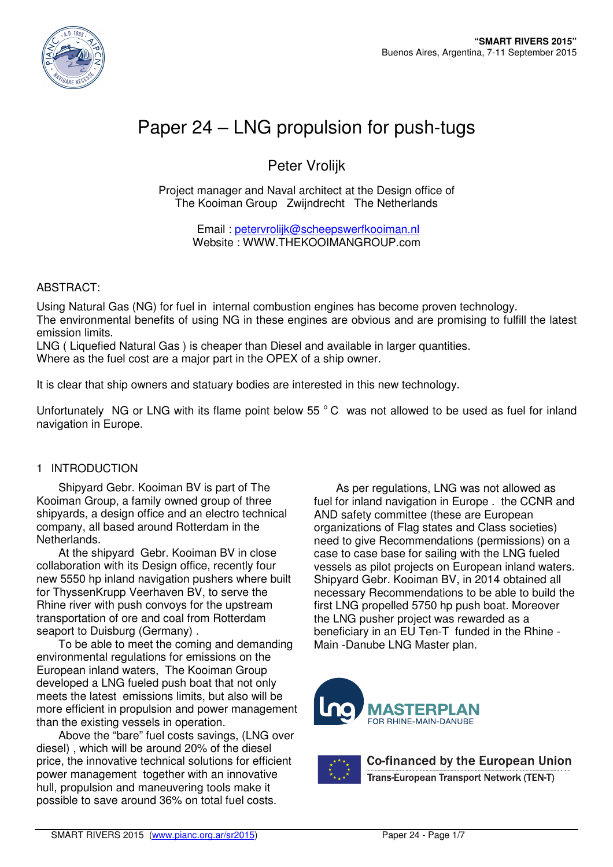

# Paper 24 – LNG propulsion for push-tugs

# Peter Vrolijk

Project manager and Naval architect at the Design office of The Kooiman Group Zwijndrecht The Netherlands

> Email : petervrolijk@scheepswerfkooiman.nl Website : WWW.THEKOOIMANGROUP.com

#### ABSTRACT:

Using Natural Gas (NG) for fuel in internal combustion engines has become proven technology. The environmental benefits of using NG in these engines are obvious and are promising to fulfill the latest emission limits.

LNG ( Liquefied Natural Gas ) is cheaper than Diesel and available in larger quantities. Where as the fuel cost are a major part in the OPEX of a ship owner.

It is clear that ship owners and statuary bodies are interested in this new technology.

Unfortunately NG or LNG with its flame point below 55 $^{\circ}$ C was not allowed to be used as fuel for inland navigation in Europe.

#### 1 INTRODUCTION

Shipyard Gebr. Kooiman BV is part of The Kooiman Group, a family owned group of three shipyards, a design office and an electro technical company, all based around Rotterdam in the Netherlands.

At the shipyard Gebr. Kooiman BV in close collaboration with its Design office, recently four new 5550 hp inland navigation pushers where built for ThyssenKrupp Veerhaven BV, to serve the Rhine river with push convoys for the upstream transportation of ore and coal from Rotterdam seaport to Duisburg (Germany) .

To be able to meet the coming and demanding environmental regulations for emissions on the European inland waters, The Kooiman Group developed a LNG fueled push boat that not only meets the latest emissions limits, but also will be more efficient in propulsion and power management than the existing vessels in operation.

Above the "bare" fuel costs savings, (LNG over diesel) , which will be around 20% of the diesel price, the innovative technical solutions for efficient power management together with an innovative hull, propulsion and maneuvering tools make it possible to save around 36% on total fuel costs.

As per regulations, LNG was not allowed as fuel for inland navigation in Europe . the CCNR and AND safety committee (these are European organizations of Flag states and Class societies) need to give Recommendations (permissions) on a case to case base for sailing with the LNG fueled vessels as pilot projects on European inland waters. Shipyard Gebr. Kooiman BV, in 2014 obtained all necessary Recommendations to be able to build the first LNG propelled 5750 hp push boat. Moreover the LNG pusher project was rewarded as a beneficiary in an EU Ten-T funded in the Rhine - Main -Danube LNG Master plan.





Co-financed by the European Union Trans-European Transport Network (TEN-T)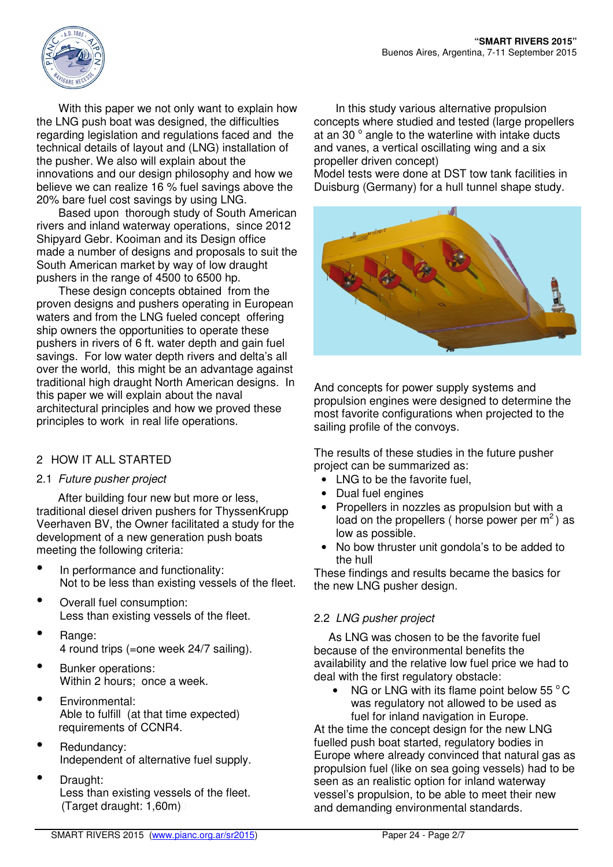

With this paper we not only want to explain how the LNG push boat was designed, the difficulties regarding legislation and regulations faced and the technical details of layout and (LNG) installation of the pusher. We also will explain about the innovations and our design philosophy and how we believe we can realize 16 % fuel savings above the 20% bare fuel cost savings by using LNG.

Based upon thorough study of South American rivers and inland waterway operations, since 2012 Shipyard Gebr. Kooiman and its Design office made a number of designs and proposals to suit the South American market by way of low draught pushers in the range of 4500 to 6500 hp.

These design concepts obtained from the proven designs and pushers operating in European waters and from the LNG fueled concept offering ship owners the opportunities to operate these pushers in rivers of 6 ft. water depth and gain fuel savings. For low water depth rivers and delta's all over the world. this might be an advantage against traditional high draught North American designs. In this paper we will explain about the naval architectural principles and how we proved these principles to work in real life operations.

## 2 HOW IT ALL STARTED

## 2.1 Future pusher project

After building four new but more or less, traditional diesel driven pushers for ThyssenKrupp Veerhaven BV, the Owner facilitated a study for the development of a new generation push boats meeting the following criteria:

- In performance and functionality: Not to be less than existing vessels of the fleet.
- Overall fuel consumption: Less than existing vessels of the fleet.
- Range: 4 round trips (=one week 24/7 sailing).
- Bunker operations: Within 2 hours; once a week.
- Environmental: Able to fulfill (at that time expected) requirements of CCNR4.
- Redundancy: Independent of alternative fuel supply.
- Draught: Less than existing vessels of the fleet. (Target draught: 1,60m)0

In this study various alternative propulsion concepts where studied and tested (large propellers at an 30 $^{\circ}$  angle to the waterline with intake ducts and vanes, a vertical oscillating wing and a six propeller driven concept)

Model tests were done at DST tow tank facilities in Duisburg (Germany) for a hull tunnel shape study.



And concepts for power supply systems and propulsion engines were designed to determine the most favorite configurations when projected to the sailing profile of the convoys.

The results of these studies in the future pusher project can be summarized as:

- LNG to be the favorite fuel.
- Dual fuel engines
- Propellers in nozzles as propulsion but with a load on the propellers ( horse power per  $m^2$  ) as low as possible.
- No bow thruster unit gondola's to be added to the hull

These findings and results became the basics for the new LNG pusher design.

## 2.2 LNG pusher project

As LNG was chosen to be the favorite fuel because of the environmental benefits the availability and the relative low fuel price we had to deal with the first regulatory obstacle:

NG or LNG with its flame point below  $55\,^{\circ}$ C was regulatory not allowed to be used as fuel for inland navigation in Europe.

At the time the concept design for the new LNG fuelled push boat started, regulatory bodies in Europe where already convinced that natural gas as propulsion fuel (like on sea going vessels) had to be seen as an realistic option for inland waterway vessel's propulsion, to be able to meet their new and demanding environmental standards.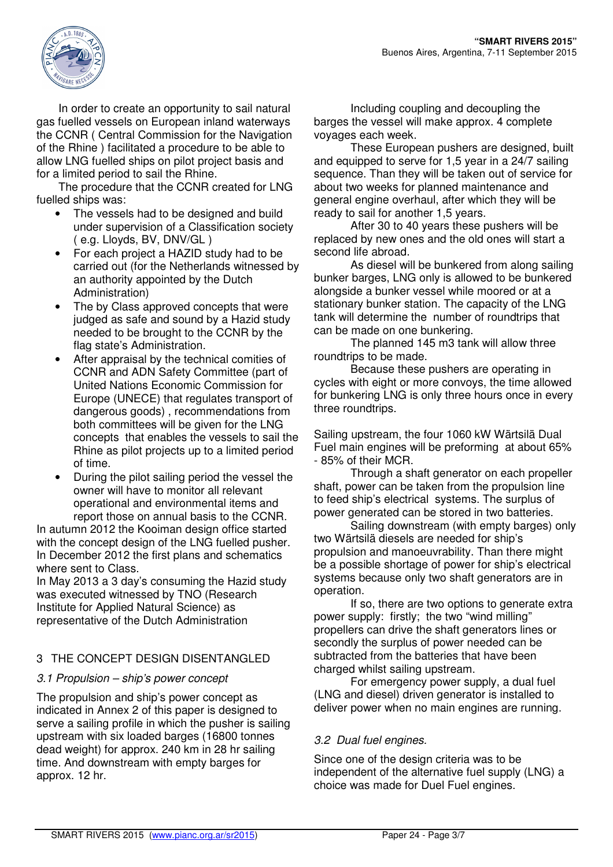

In order to create an opportunity to sail natural gas fuelled vessels on European inland waterways the CCNR ( Central Commission for the Navigation of the Rhine ) facilitated a procedure to be able to allow LNG fuelled ships on pilot project basis and for a limited period to sail the Rhine.

The procedure that the CCNR created for LNG fuelled ships was:

- The vessels had to be designed and build under supervision of a Classification society ( e.g. Lloyds, BV, DNV/GL )
- For each project a HAZID study had to be carried out (for the Netherlands witnessed by an authority appointed by the Dutch Administration)
- The by Class approved concepts that were judged as safe and sound by a Hazid study needed to be brought to the CCNR by the flag state's Administration.
- After appraisal by the technical comities of CCNR and ADN Safety Committee (part of United Nations Economic Commission for Europe (UNECE) that regulates transport of dangerous goods) , recommendations from both committees will be given for the LNG concepts that enables the vessels to sail the Rhine as pilot projects up to a limited period of time.
- During the pilot sailing period the vessel the owner will have to monitor all relevant operational and environmental items and report those on annual basis to the CCNR.

In autumn 2012 the Kooiman design office started with the concept design of the LNG fuelled pusher. In December 2012 the first plans and schematics where sent to Class.

In May 2013 a 3 day's consuming the Hazid study was executed witnessed by TNO (Research Institute for Applied Natural Science) as representative of the Dutch Administration

# 3 THE CONCEPT DESIGN DISENTANGLED

## 3.1 Propulsion – ship's power concept

The propulsion and ship's power concept as indicated in Annex 2 of this paper is designed to serve a sailing profile in which the pusher is sailing upstream with six loaded barges (16800 tonnes dead weight) for approx. 240 km in 28 hr sailing time. And downstream with empty barges for approx. 12 hr.

Including coupling and decoupling the barges the vessel will make approx. 4 complete voyages each week.

These European pushers are designed, built and equipped to serve for 1,5 year in a 24/7 sailing sequence. Than they will be taken out of service for about two weeks for planned maintenance and general engine overhaul, after which they will be ready to sail for another 1,5 years.

After 30 to 40 years these pushers will be replaced by new ones and the old ones will start a second life abroad.

As diesel will be bunkered from along sailing bunker barges, LNG only is allowed to be bunkered alongside a bunker vessel while moored or at a stationary bunker station. The capacity of the LNG tank will determine the number of roundtrips that can be made on one bunkering.

The planned 145 m3 tank will allow three roundtrips to be made.

Because these pushers are operating in cycles with eight or more convoys, the time allowed for bunkering LNG is only three hours once in every three roundtrips.

Sailing upstream, the four 1060 kW Wärtsilä Dual Fuel main engines will be preforming at about 65% - 85% of their MCR.

Through a shaft generator on each propeller shaft, power can be taken from the propulsion line to feed ship's electrical systems. The surplus of power generated can be stored in two batteries.

Sailing downstream (with empty barges) only two Wärtsilä diesels are needed for ship's propulsion and manoeuvrability. Than there might be a possible shortage of power for ship's electrical systems because only two shaft generators are in operation.

If so, there are two options to generate extra power supply: firstly; the two "wind milling" propellers can drive the shaft generators lines or secondly the surplus of power needed can be subtracted from the batteries that have been charged whilst sailing upstream.

For emergency power supply, a dual fuel (LNG and diesel) driven generator is installed to deliver power when no main engines are running.

## 3.2 Dual fuel engines.

Since one of the design criteria was to be independent of the alternative fuel supply (LNG) a choice was made for Duel Fuel engines.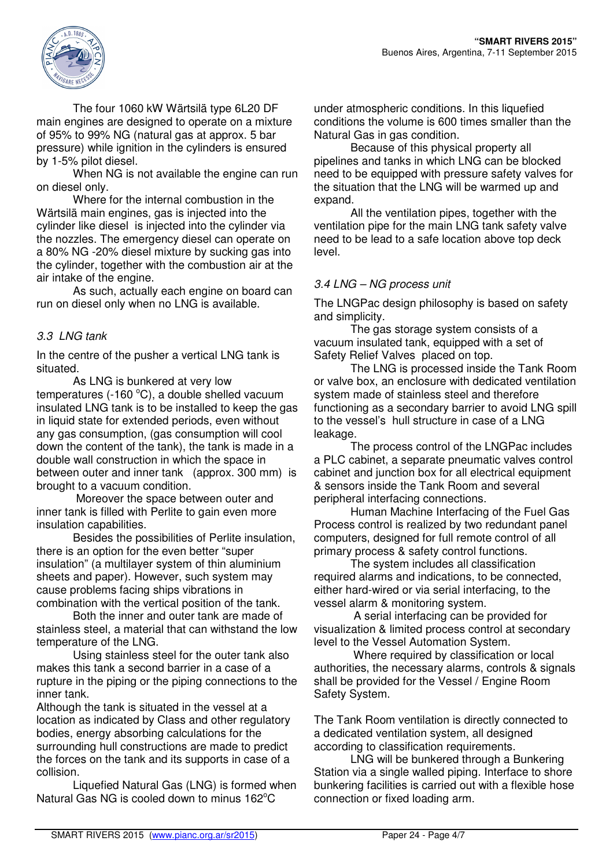

The four 1060 kW Wärtsilä type 6L20 DF main engines are designed to operate on a mixture of 95% to 99% NG (natural gas at approx. 5 bar pressure) while ignition in the cylinders is ensured by 1-5% pilot diesel.

When NG is not available the engine can run on diesel only.

Where for the internal combustion in the Wärtsilä main engines, gas is injected into the cylinder like diesel is injected into the cylinder via the nozzles. The emergency diesel can operate on a 80% NG -20% diesel mixture by sucking gas into the cylinder, together with the combustion air at the air intake of the engine.

As such, actually each engine on board can run on diesel only when no LNG is available.

# 3.3 LNG tank

In the centre of the pusher a vertical LNG tank is situated.

As LNG is bunkered at very low temperatures (-160 $^{\circ}$ C), a double shelled vacuum insulated LNG tank is to be installed to keep the gas in liquid state for extended periods, even without any gas consumption, (gas consumption will cool down the content of the tank), the tank is made in a double wall construction in which the space in between outer and inner tank (approx. 300 mm) is brought to a vacuum condition.

 Moreover the space between outer and inner tank is filled with Perlite to gain even more insulation capabilities.

Besides the possibilities of Perlite insulation, there is an option for the even better "super insulation" (a multilayer system of thin aluminium sheets and paper). However, such system may cause problems facing ships vibrations in combination with the vertical position of the tank.

Both the inner and outer tank are made of stainless steel, a material that can withstand the low temperature of the LNG.

Using stainless steel for the outer tank also makes this tank a second barrier in a case of a rupture in the piping or the piping connections to the inner tank.

Although the tank is situated in the vessel at a location as indicated by Class and other regulatory bodies, energy absorbing calculations for the surrounding hull constructions are made to predict the forces on the tank and its supports in case of a collision.

 Liquefied Natural Gas (LNG) is formed when Natural Gas NG is cooled down to minus  $162^{\circ}$ C

under atmospheric conditions. In this liquefied conditions the volume is 600 times smaller than the Natural Gas in gas condition.

Because of this physical property all pipelines and tanks in which LNG can be blocked need to be equipped with pressure safety valves for the situation that the LNG will be warmed up and expand.

All the ventilation pipes, together with the ventilation pipe for the main LNG tank safety valve need to be lead to a safe location above top deck level.

## 3.4 LNG – NG process unit

The LNGPac design philosophy is based on safety and simplicity.

The gas storage system consists of a vacuum insulated tank, equipped with a set of Safety Relief Valves placed on top.

The LNG is processed inside the Tank Room or valve box, an enclosure with dedicated ventilation system made of stainless steel and therefore functioning as a secondary barrier to avoid LNG spill to the vessel's hull structure in case of a LNG leakage.

The process control of the LNGPac includes a PLC cabinet, a separate pneumatic valves control cabinet and junction box for all electrical equipment & sensors inside the Tank Room and several peripheral interfacing connections.

Human Machine Interfacing of the Fuel Gas Process control is realized by two redundant panel computers, designed for full remote control of all primary process & safety control functions.

The system includes all classification required alarms and indications, to be connected, either hard-wired or via serial interfacing, to the vessel alarm & monitoring system.

 A serial interfacing can be provided for visualization & limited process control at secondary level to the Vessel Automation System.

 Where required by classification or local authorities, the necessary alarms, controls & signals shall be provided for the Vessel / Engine Room Safety System.

The Tank Room ventilation is directly connected to a dedicated ventilation system, all designed according to classification requirements.

LNG will be bunkered through a Bunkering Station via a single walled piping. Interface to shore bunkering facilities is carried out with a flexible hose connection or fixed loading arm.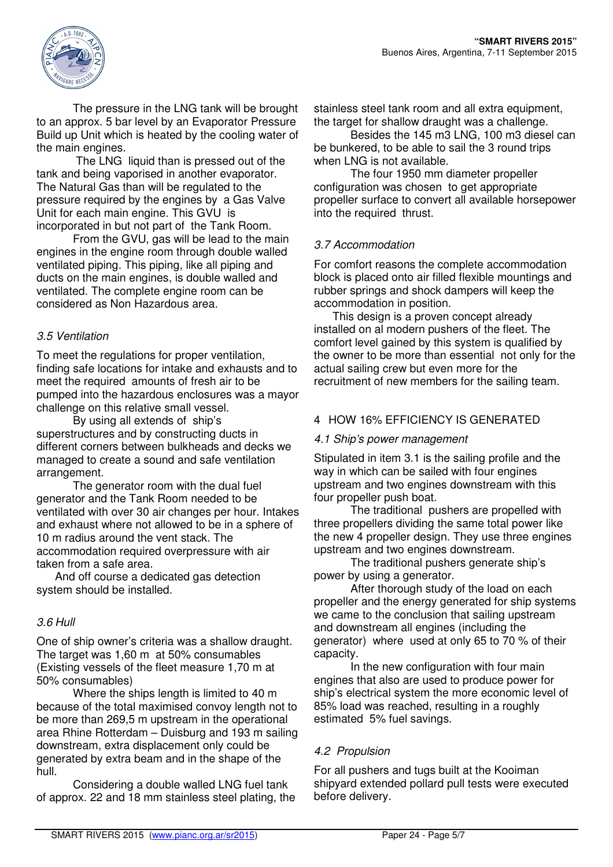

The pressure in the LNG tank will be brought to an approx. 5 bar level by an Evaporator Pressure Build up Unit which is heated by the cooling water of the main engines.

 The LNG liquid than is pressed out of the tank and being vaporised in another evaporator. The Natural Gas than will be regulated to the pressure required by the engines by a Gas Valve Unit for each main engine. This GVU is incorporated in but not part of the Tank Room.

From the GVU, gas will be lead to the main engines in the engine room through double walled ventilated piping. This piping, like all piping and ducts on the main engines, is double walled and ventilated. The complete engine room can be considered as Non Hazardous area.

#### 3.5 Ventilation

To meet the regulations for proper ventilation, finding safe locations for intake and exhausts and to meet the required amounts of fresh air to be pumped into the hazardous enclosures was a mayor challenge on this relative small vessel.

By using all extends of ship's superstructures and by constructing ducts in different corners between bulkheads and decks we managed to create a sound and safe ventilation arrangement.

The generator room with the dual fuel generator and the Tank Room needed to be ventilated with over 30 air changes per hour. Intakes and exhaust where not allowed to be in a sphere of 10 m radius around the vent stack. The accommodation required overpressure with air taken from a safe area.

And off course a dedicated gas detection system should be installed.

## 3.6 Hull

One of ship owner's criteria was a shallow draught. The target was 1,60 m at 50% consumables (Existing vessels of the fleet measure 1,70 m at 50% consumables)

Where the ships length is limited to 40 m because of the total maximised convoy length not to be more than 269,5 m upstream in the operational area Rhine Rotterdam – Duisburg and 193 m sailing downstream, extra displacement only could be generated by extra beam and in the shape of the hull.

Considering a double walled LNG fuel tank of approx. 22 and 18 mm stainless steel plating, the stainless steel tank room and all extra equipment, the target for shallow draught was a challenge.

Besides the 145 m3 LNG, 100 m3 diesel can be bunkered, to be able to sail the 3 round trips when LNG is not available.

The four 1950 mm diameter propeller configuration was chosen to get appropriate propeller surface to convert all available horsepower into the required thrust.

## 3.7 Accommodation

For comfort reasons the complete accommodation block is placed onto air filled flexible mountings and rubber springs and shock dampers will keep the accommodation in position.

This design is a proven concept already installed on al modern pushers of the fleet. The comfort level gained by this system is qualified by the owner to be more than essential not only for the actual sailing crew but even more for the recruitment of new members for the sailing team.

#### 4 HOW 16% EFFICIENCY IS GENERATED

#### 4.1 Ship's power management

Stipulated in item 3.1 is the sailing profile and the way in which can be sailed with four engines upstream and two engines downstream with this four propeller push boat.

The traditional pushers are propelled with three propellers dividing the same total power like the new 4 propeller design. They use three engines upstream and two engines downstream.

The traditional pushers generate ship's power by using a generator.

After thorough study of the load on each propeller and the energy generated for ship systems we came to the conclusion that sailing upstream and downstream all engines (including the generator) where used at only 65 to 70 % of their capacity.

In the new configuration with four main engines that also are used to produce power for ship's electrical system the more economic level of 85% load was reached, resulting in a roughly estimated 5% fuel savings.

## 4.2 Propulsion

For all pushers and tugs built at the Kooiman shipyard extended pollard pull tests were executed before delivery.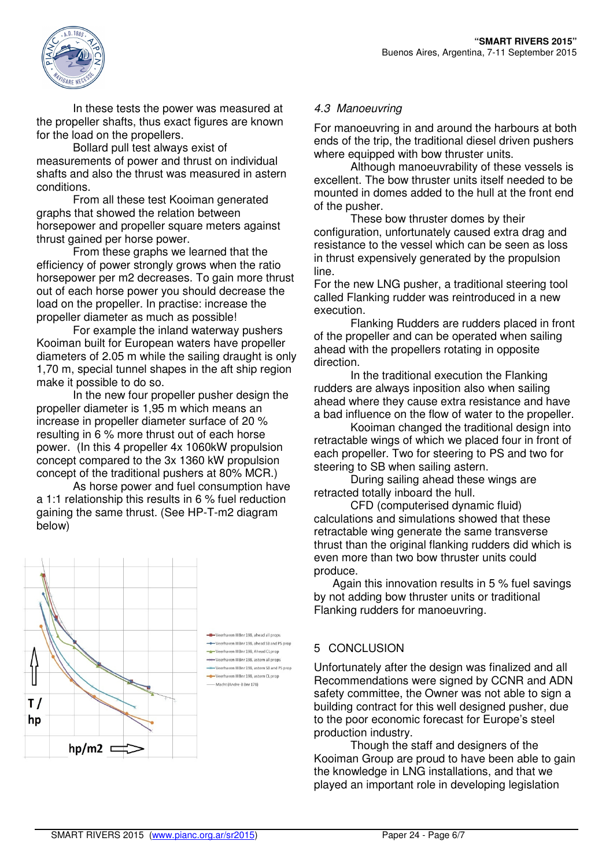

In these tests the power was measured at the propeller shafts, thus exact figures are known for the load on the propellers.

Bollard pull test always exist of measurements of power and thrust on individual shafts and also the thrust was measured in astern conditions.

From all these test Kooiman generated graphs that showed the relation between horsepower and propeller square meters against thrust gained per horse power.

From these graphs we learned that the efficiency of power strongly grows when the ratio horsepower per m2 decreases. To gain more thrust out of each horse power you should decrease the load on the propeller. In practise: increase the propeller diameter as much as possible!

For example the inland waterway pushers Kooiman built for European waters have propeller diameters of 2.05 m while the sailing draught is only 1,70 m, special tunnel shapes in the aft ship region make it possible to do so.

In the new four propeller pusher design the propeller diameter is 1,95 m which means an increase in propeller diameter surface of 20 % resulting in 6 % more thrust out of each horse power. (In this 4 propeller 4x 1060kW propulsion concept compared to the 3x 1360 kW propulsion concept of the traditional pushers at 80% MCR.)

As horse power and fuel consumption have a 1:1 relationship this results in 6 % fuel reduction gaining the same thrust. (See HP-T-m2 diagram below)



# 4.3 Manoeuvring

For manoeuvring in and around the harbours at both ends of the trip, the traditional diesel driven pushers where equipped with bow thruster units.

Although manoeuvrability of these vessels is excellent. The bow thruster units itself needed to be mounted in domes added to the hull at the front end of the pusher.

These bow thruster domes by their configuration, unfortunately caused extra drag and resistance to the vessel which can be seen as loss in thrust expensively generated by the propulsion line.

For the new LNG pusher, a traditional steering tool called Flanking rudder was reintroduced in a new execution.

Flanking Rudders are rudders placed in front of the propeller and can be operated when sailing ahead with the propellers rotating in opposite direction.

In the traditional execution the Flanking rudders are always inposition also when sailing ahead where they cause extra resistance and have a bad influence on the flow of water to the propeller.

Kooiman changed the traditional design into retractable wings of which we placed four in front of each propeller. Two for steering to PS and two for steering to SB when sailing astern.

During sailing ahead these wings are retracted totally inboard the hull.

CFD (computerised dynamic fluid) calculations and simulations showed that these retractable wing generate the same transverse thrust than the original flanking rudders did which is even more than two bow thruster units could produce.

Again this innovation results in 5 % fuel savings by not adding bow thruster units or traditional Flanking rudders for manoeuvring.

## 5 CONCLUSION

Unfortunately after the design was finalized and all Recommendations were signed by CCNR and ADN safety committee, the Owner was not able to sign a building contract for this well designed pusher, due to the poor economic forecast for Europe's steel production industry.

Though the staff and designers of the Kooiman Group are proud to have been able to gain the knowledge in LNG installations, and that we played an important role in developing legislation